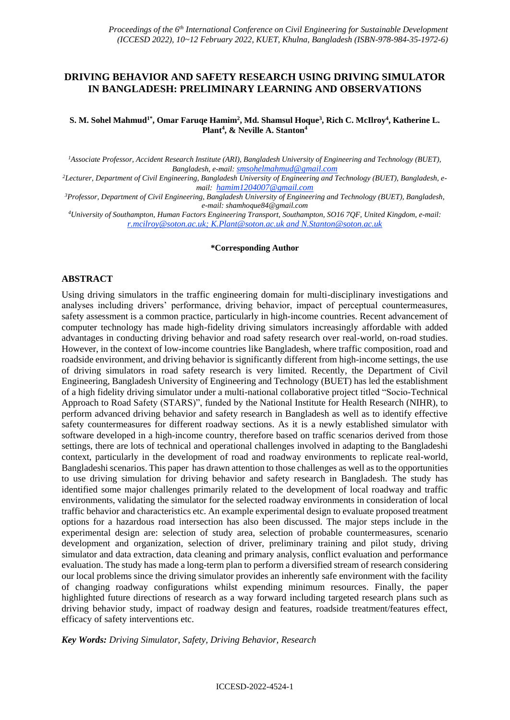### **DRIVING BEHAVIOR AND SAFETY RESEARCH USING DRIVING SIMULATOR IN BANGLADESH: PRELIMINARY LEARNING AND OBSERVATIONS**

#### $S$ . M. Sohel Mahmud<sup>1\*</sup>, Omar Faruqe Hamim<sup>2</sup>, Md. Shamsul Hoque<sup>3</sup>, Rich C. McIlroy<sup>4</sup>, Katherine L. **Plant<sup>4</sup> , & Neville A. Stanton<sup>4</sup>**

*<sup>1</sup>Associate Professor, Accident Research Institute (ARI), Bangladesh University of Engineering and Technology (BUET), Bangladesh, e-mail: [smsohelmahmud@gmail.com](mailto:smsohelmahmud@gmail.com)*

*2Lecturer, Department of Civil Engineering, Bangladesh University of Engineering and Technology (BUET), Bangladesh, email: hamim1204007@gmail.com*

*<sup>3</sup>Professor, Department of Civil Engineering, Bangladesh University of Engineering and Technology (BUET), Bangladesh, e-mail: [shamhoque84@gmail.com](mailto:shamhoque84@gmail.com)*

*<sup>4</sup>University of Southampton, Human Factors Engineering Transport, Southampton, SO16 7QF, United Kingdom, e-mail: [r.mcilroy@soton.ac.uk;](mailto:r.mcilroy@soton.ac.uk) [K.Plant@soton.ac.uk](mailto:K.Plant@soton.ac.uk) and N.Stanton@soton.ac.uk*

#### **\*Corresponding Author**

#### **ABSTRACT**

Using driving simulators in the traffic engineering domain for multi-disciplinary investigations and analyses including drivers' performance, driving behavior, impact of perceptual countermeasures, safety assessment is a common practice, particularly in high-income countries. Recent advancement of computer technology has made high-fidelity driving simulators increasingly affordable with added advantages in conducting driving behavior and road safety research over real-world, on-road studies. However, in the context of low-income countries like Bangladesh, where traffic composition, road and roadside environment, and driving behavior is significantly different from high-income settings, the use of driving simulators in road safety research is very limited. Recently, the Department of Civil Engineering, Bangladesh University of Engineering and Technology (BUET) has led the establishment of a high fidelity driving simulator under a multi-national collaborative project titled "Socio-Technical Approach to Road Safety (STARS)", funded by the National Institute for Health Research (NIHR), to perform advanced driving behavior and safety research in Bangladesh as well as to identify effective safety countermeasures for different roadway sections. As it is a newly established simulator with software developed in a high-income country, therefore based on traffic scenarios derived from those settings, there are lots of technical and operational challenges involved in adapting to the Bangladeshi context, particularly in the development of road and roadway environments to replicate real-world, Bangladeshi scenarios. This paper has drawn attention to those challenges as well as to the opportunities to use driving simulation for driving behavior and safety research in Bangladesh. The study has identified some major challenges primarily related to the development of local roadway and traffic environments, validating the simulator for the selected roadway environments in consideration of local traffic behavior and characteristics etc. An example experimental design to evaluate proposed treatment options for a hazardous road intersection has also been discussed. The major steps include in the experimental design are: selection of study area, selection of probable countermeasures, scenario development and organization, selection of driver, preliminary training and pilot study, driving simulator and data extraction, data cleaning and primary analysis, conflict evaluation and performance evaluation. The study has made a long-term plan to perform a diversified stream of research considering our local problems since the driving simulator provides an inherently safe environment with the facility of changing roadway configurations whilst expending minimum resources. Finally, the paper highlighted future directions of research as a way forward including targeted research plans such as driving behavior study, impact of roadway design and features, roadside treatment/features effect, efficacy of safety interventions etc.

*Key Words: Driving Simulator, Safety, Driving Behavior, Research*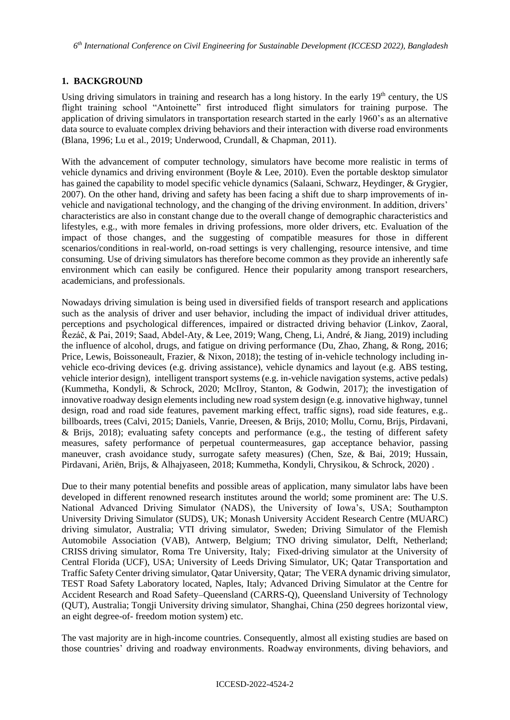### **1. BACKGROUND**

Using driving simulators in training and research has a long history. In the early  $19<sup>th</sup>$  century, the US flight training school "Antoinette" first introduced flight simulators for training purpose. The application of driving simulators in transportation research started in the early 1960's as an alternative data source to evaluate complex driving behaviors and their interaction with diverse road environments (Blana, 1996; Lu et al., 2019; Underwood, Crundall, & Chapman, 2011).

With the advancement of computer technology, simulators have become more realistic in terms of vehicle dynamics and driving environment (Boyle & Lee, 2010). Even the portable desktop simulator has gained the capability to model specific vehicle dynamics (Salaani, Schwarz, Heydinger, & Grygier, 2007). On the other hand, driving and safety has been facing a shift due to sharp improvements of invehicle and navigational technology, and the changing of the driving environment. In addition, drivers' characteristics are also in constant change due to the overall change of demographic characteristics and lifestyles, e.g., with more females in driving professions, more older drivers, etc. Evaluation of the impact of those changes, and the suggesting of compatible measures for those in different scenarios/conditions in real-world, on-road settings is very challenging, resource intensive, and time consuming. Use of driving simulators has therefore become common as they provide an inherently safe environment which can easily be configured. Hence their popularity among transport researchers, academicians, and professionals.

Nowadays driving simulation is being used in diversified fields of transport research and applications such as the analysis of driver and user behavior, including the impact of individual driver attitudes, perceptions and psychological differences, impaired or distracted driving behavior (Linkov, Zaoral, Řezáč, & Pai, 2019; Saad, Abdel-Aty, & Lee, 2019; Wang, Cheng, Li, André, & Jiang, 2019) including the influence of alcohol, drugs, and fatigue on driving performance (Du, Zhao, Zhang, & Rong, 2016; Price, Lewis, Boissoneault, Frazier, & Nixon, 2018); the testing of in-vehicle technology including invehicle eco-driving devices (e.g. driving assistance), vehicle dynamics and layout (e.g. ABS testing, vehicle interior design), intelligent transport systems (e.g. in-vehicle navigation systems, active pedals) (Kummetha, Kondyli, & Schrock, 2020; McIlroy, Stanton, & Godwin, 2017); the investigation of innovative roadway design elements including new road system design (e.g. innovative highway, tunnel design, road and road side features, pavement marking effect, traffic signs), road side features, e.g.. billboards, trees (Calvi, 2015; Daniels, Vanrie, Dreesen, & Brijs, 2010; Mollu, Cornu, Brijs, Pirdavani, & Brijs, 2018); evaluating safety concepts and performance (e.g., the testing of different safety measures, safety performance of perpetual countermeasures, gap acceptance behavior, passing maneuver, crash avoidance study, surrogate safety measures) (Chen, Sze, & Bai, 2019; Hussain, Pirdavani, Ariën, Brijs, & Alhajyaseen, 2018; Kummetha, Kondyli, Chrysikou, & Schrock, 2020) .

Due to their many potential benefits and possible areas of application, many simulator labs have been developed in different renowned research institutes around the world; some prominent are: The U.S. National Advanced Driving Simulator (NADS), the University of Iowa's, USA; Southampton University Driving Simulator (SUDS), UK; Monash University Accident Research Centre (MUARC) driving simulator, Australia; VTI driving simulator, Sweden; Driving Simulator of the Flemish Automobile Association (VAB), Antwerp, Belgium; TNO driving simulator, Delft, Netherland; CRISS driving simulator, Roma Tre University, Italy; Fixed-driving simulator at the University of Central Florida (UCF), USA; University of Leeds Driving Simulator, UK; Qatar Transportation and Traffic Safety Center driving simulator, Qatar University, Qatar; The VERA dynamic driving simulator, TEST Road Safety Laboratory located, Naples, Italy; Advanced Driving Simulator at the Centre for Accident Research and Road Safety–Queensland (CARRS-Q), Queensland University of Technology (QUT), Australia; Tongji University driving simulator, Shanghai, China (250 degrees horizontal view, an eight degree-of- freedom motion system) etc.

The vast majority are in high-income countries. Consequently, almost all existing studies are based on those countries' driving and roadway environments. Roadway environments, diving behaviors, and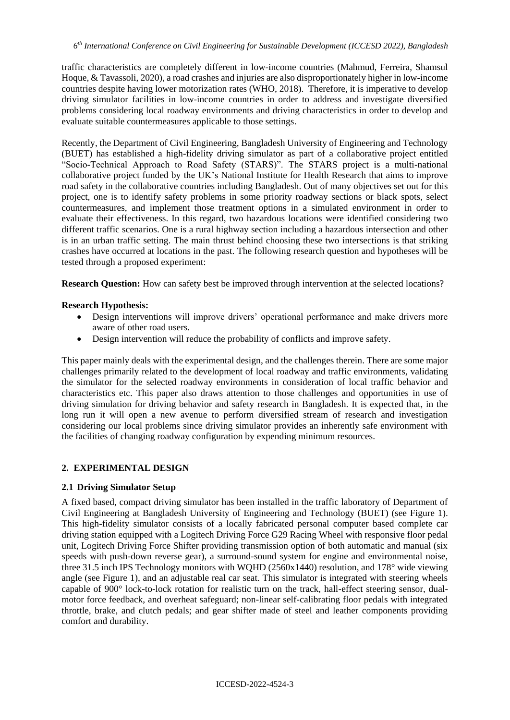traffic characteristics are completely different in low-income countries (Mahmud, Ferreira, Shamsul Hoque, & Tavassoli, 2020), a road crashes and injuries are also disproportionately higher in low-income countries despite having lower motorization rates (WHO, 2018). Therefore, it is imperative to develop driving simulator facilities in low-income countries in order to address and investigate diversified problems considering local roadway environments and driving characteristics in order to develop and evaluate suitable countermeasures applicable to those settings.

Recently, the Department of Civil Engineering, Bangladesh University of Engineering and Technology (BUET) has established a high-fidelity driving simulator as part of a collaborative project entitled "Socio-Technical Approach to Road Safety (STARS)". The STARS project is a multi-national collaborative project funded by the UK's National Institute for Health Research that aims to improve road safety in the collaborative countries including Bangladesh. Out of many objectives set out for this project, one is to identify safety problems in some priority roadway sections or black spots, select countermeasures, and implement those treatment options in a simulated environment in order to evaluate their effectiveness. In this regard, two hazardous locations were identified considering two different traffic scenarios. One is a rural highway section including a hazardous intersection and other is in an urban traffic setting. The main thrust behind choosing these two intersections is that striking crashes have occurred at locations in the past. The following research question and hypotheses will be tested through a proposed experiment:

**Research Question:** How can safety best be improved through intervention at the selected locations?

## **Research Hypothesis:**

- Design interventions will improve drivers' operational performance and make drivers more aware of other road users.
- Design intervention will reduce the probability of conflicts and improve safety.

This paper mainly deals with the experimental design, and the challenges therein. There are some major challenges primarily related to the development of local roadway and traffic environments, validating the simulator for the selected roadway environments in consideration of local traffic behavior and characteristics etc. This paper also draws attention to those challenges and opportunities in use of driving simulation for driving behavior and safety research in Bangladesh. It is expected that, in the long run it will open a new avenue to perform diversified stream of research and investigation considering our local problems since driving simulator provides an inherently safe environment with the facilities of changing roadway configuration by expending minimum resources.

## **2. EXPERIMENTAL DESIGN**

## **2.1 Driving Simulator Setup**

A fixed based, compact driving simulator has been installed in the traffic laboratory of Department of Civil Engineering at Bangladesh University of Engineering and Technology (BUET) (see Figure 1). This high-fidelity simulator consists of a locally fabricated personal computer based complete car driving station equipped with a Logitech Driving Force G29 Racing Wheel with responsive floor pedal unit, Logitech Driving Force Shifter providing transmission option of both automatic and manual (six speeds with push-down reverse gear), a surround-sound system for engine and environmental noise, three 31.5 inch IPS Technology monitors with WQHD (2560x1440) resolution, and 178° wide viewing angle (see Figure 1), and an adjustable real car seat. This simulator is integrated with steering wheels capable of 900° lock-to-lock rotation for realistic turn on the track, hall-effect steering sensor, dualmotor force feedback, and overheat safeguard; non-linear self-calibrating floor pedals with integrated throttle, brake, and clutch pedals; and gear shifter made of steel and leather components providing comfort and durability.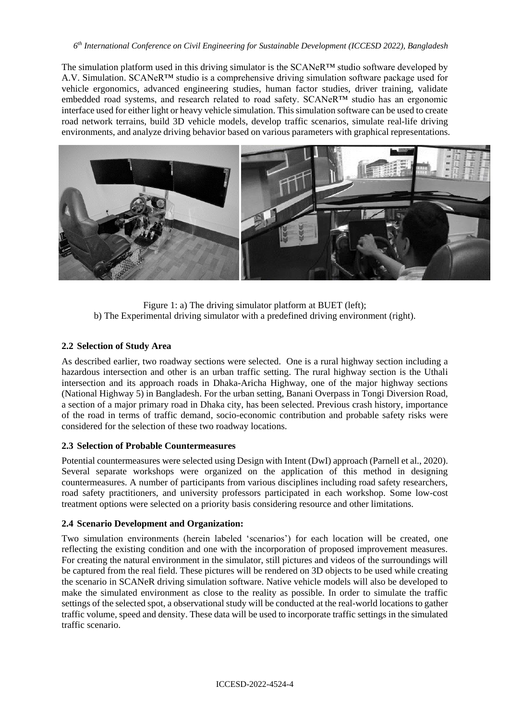#### *6 th International Conference on Civil Engineering for Sustainable Development (ICCESD 2022), Bangladesh*

The simulation platform used in this driving simulator is the SCANeR™ studio software developed by A.V. Simulation. SCANeR™ studio is a comprehensive driving simulation software package used for vehicle ergonomics, advanced engineering studies, human factor studies, driver training, validate embedded road systems, and research related to road safety. SCANeR™ studio has an ergonomic interface used for either light or heavy vehicle simulation. This simulation software can be used to create road network terrains, build 3D vehicle models, develop traffic scenarios, simulate real-life driving environments, and analyze driving behavior based on various parameters with graphical representations.



Figure 1: a) The driving simulator platform at BUET (left); b) The Experimental driving simulator with a predefined driving environment (right).

## **2.2 Selection of Study Area**

As described earlier, two roadway sections were selected. One is a rural highway section including a hazardous intersection and other is an urban traffic setting. The rural highway section is the Uthali intersection and its approach roads in Dhaka-Aricha Highway, one of the major highway sections (National Highway 5) in Bangladesh. For the urban setting, Banani Overpass in Tongi Diversion Road, a section of a major primary road in Dhaka city, has been selected. Previous crash history, importance of the road in terms of traffic demand, socio-economic contribution and probable safety risks were considered for the selection of these two roadway locations.

### **2.3 Selection of Probable Countermeasures**

Potential countermeasures were selected using Design with Intent (DwI) approach (Parnell et al., 2020). Several separate workshops were organized on the application of this method in designing countermeasures. A number of participants from various disciplines including road safety researchers, road safety practitioners, and university professors participated in each workshop. Some low-cost treatment options were selected on a priority basis considering resource and other limitations.

## **2.4 Scenario Development and Organization:**

Two simulation environments (herein labeled 'scenarios') for each location will be created, one reflecting the existing condition and one with the incorporation of proposed improvement measures. For creating the natural environment in the simulator, still pictures and videos of the surroundings will be captured from the real field. These pictures will be rendered on 3D objects to be used while creating the scenario in SCANeR driving simulation software. Native vehicle models will also be developed to make the simulated environment as close to the reality as possible. In order to simulate the traffic settings of the selected spot, a observational study will be conducted at the real-world locations to gather traffic volume, speed and density. These data will be used to incorporate traffic settings in the simulated traffic scenario.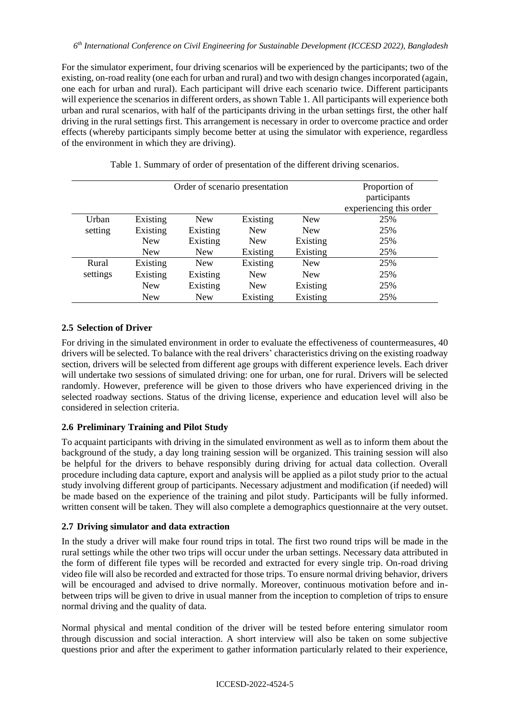For the simulator experiment, four driving scenarios will be experienced by the participants; two of the existing, on-road reality (one each for urban and rural) and two with design changes incorporated (again, one each for urban and rural). Each participant will drive each scenario twice. Different participants will experience the scenarios in different orders, as shown Table 1. All participants will experience both urban and rural scenarios, with half of the participants driving in the urban settings first, the other half driving in the rural settings first. This arrangement is necessary in order to overcome practice and order effects (whereby participants simply become better at using the simulator with experience, regardless of the environment in which they are driving).

|          |            |            | Order of scenario presentation |            | Proportion of<br>participants<br>experiencing this order |
|----------|------------|------------|--------------------------------|------------|----------------------------------------------------------|
| Urban    | Existing   | <b>New</b> | Existing                       | <b>New</b> | 25%                                                      |
| setting  | Existing   | Existing   | <b>New</b>                     | <b>New</b> | 25%                                                      |
|          | New        | Existing   | <b>New</b>                     | Existing   | 25%                                                      |
|          | <b>New</b> | <b>New</b> | Existing                       | Existing   | 25%                                                      |
| Rural    | Existing   | <b>New</b> | Existing                       | <b>New</b> | 25%                                                      |
| settings | Existing   | Existing   | <b>New</b>                     | <b>New</b> | 25%                                                      |
|          | <b>New</b> | Existing   | <b>New</b>                     | Existing   | 25%                                                      |
|          | New        | <b>New</b> | Existing                       | Existing   | 25%                                                      |

Table 1. Summary of order of presentation of the different driving scenarios.

## **2.5 Selection of Driver**

For driving in the simulated environment in order to evaluate the effectiveness of countermeasures, 40 drivers will be selected. To balance with the real drivers' characteristics driving on the existing roadway section, drivers will be selected from different age groups with different experience levels. Each driver will undertake two sessions of simulated driving: one for urban, one for rural. Drivers will be selected randomly. However, preference will be given to those drivers who have experienced driving in the selected roadway sections. Status of the driving license, experience and education level will also be considered in selection criteria.

## **2.6 Preliminary Training and Pilot Study**

To acquaint participants with driving in the simulated environment as well as to inform them about the background of the study, a day long training session will be organized. This training session will also be helpful for the drivers to behave responsibly during driving for actual data collection. Overall procedure including data capture, export and analysis will be applied as a pilot study prior to the actual study involving different group of participants. Necessary adjustment and modification (if needed) will be made based on the experience of the training and pilot study. Participants will be fully informed. written consent will be taken. They will also complete a demographics questionnaire at the very outset.

## **2.7 Driving simulator and data extraction**

In the study a driver will make four round trips in total. The first two round trips will be made in the rural settings while the other two trips will occur under the urban settings. Necessary data attributed in the form of different file types will be recorded and extracted for every single trip. On-road driving video file will also be recorded and extracted for those trips. To ensure normal driving behavior, drivers will be encouraged and advised to drive normally. Moreover, continuous motivation before and inbetween trips will be given to drive in usual manner from the inception to completion of trips to ensure normal driving and the quality of data.

Normal physical and mental condition of the driver will be tested before entering simulator room through discussion and social interaction. A short interview will also be taken on some subjective questions prior and after the experiment to gather information particularly related to their experience,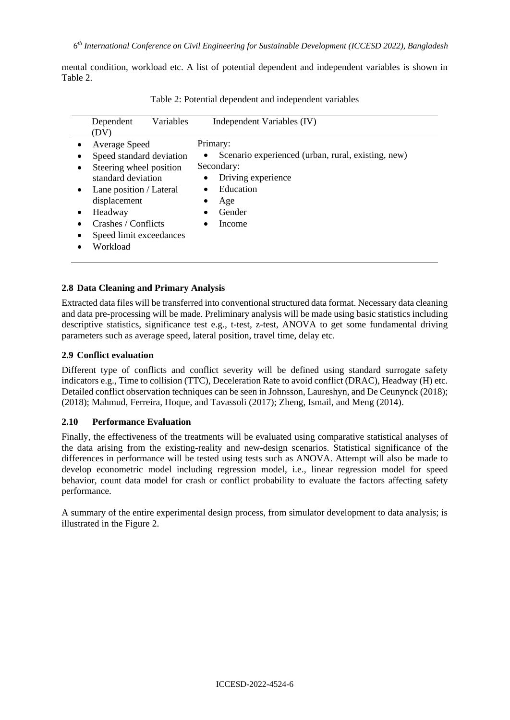mental condition, workload etc. A list of potential dependent and independent variables is shown in Table 2.

| Variables<br>Dependent<br>(DV)                                                                                                                                                                                 | Independent Variables (IV)                                                                                                                                           |
|----------------------------------------------------------------------------------------------------------------------------------------------------------------------------------------------------------------|----------------------------------------------------------------------------------------------------------------------------------------------------------------------|
| Average Speed<br>Speed standard deviation<br>Steering wheel position<br>standard deviation<br>Lane position / Lateral<br>displacement<br>Headway<br>Crashes / Conflicts<br>Speed limit exceedances<br>Workload | Primary:<br>Scenario experienced (urban, rural, existing, new)<br>$\bullet$<br>Secondary:<br>Driving experience<br>$\bullet$<br>Education<br>Age<br>Gender<br>Income |

Table 2: Potential dependent and independent variables

### **2.8 Data Cleaning and Primary Analysis**

Extracted data files will be transferred into conventional structured data format. Necessary data cleaning and data pre-processing will be made. Preliminary analysis will be made using basic statistics including descriptive statistics, significance test e.g., t-test, z-test, ANOVA to get some fundamental driving parameters such as average speed, lateral position, travel time, delay etc.

#### **2.9 Conflict evaluation**

Different type of conflicts and conflict severity will be defined using standard surrogate safety indicators e.g., Time to collision (TTC), Deceleration Rate to avoid conflict (DRAC), Headway (H) etc. Detailed conflict observation techniques can be seen in Johnsson, Laureshyn, and De Ceunynck (2018); (2018); Mahmud, Ferreira, Hoque, and Tavassoli (2017); Zheng, Ismail, and Meng (2014).

#### **2.10 Performance Evaluation**

Finally, the effectiveness of the treatments will be evaluated using comparative statistical analyses of the data arising from the existing-reality and new-design scenarios. Statistical significance of the differences in performance will be tested using tests such as ANOVA. Attempt will also be made to develop econometric model including regression model, i.e., linear regression model for speed behavior, count data model for crash or conflict probability to evaluate the factors affecting safety performance.

A summary of the entire experimental design process, from simulator development to data analysis; is illustrated in the Figure 2.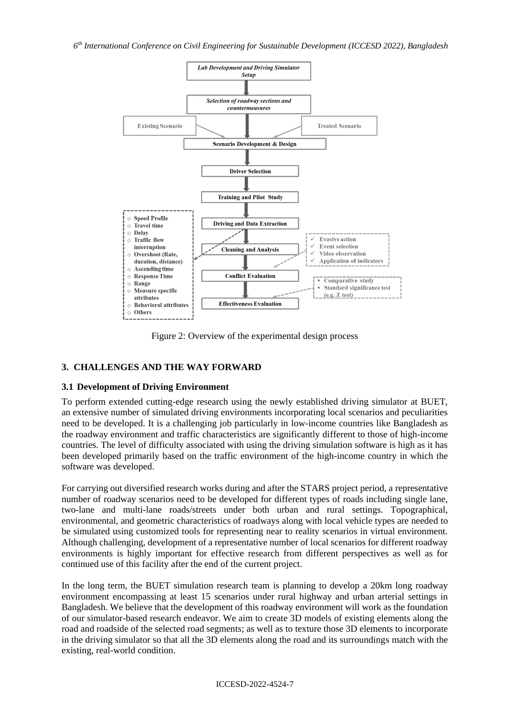*6 th International Conference on Civil Engineering for Sustainable Development (ICCESD 2022), Bangladesh*



Figure 2: Overview of the experimental design process

# **3. CHALLENGES AND THE WAY FORWARD**

### **3.1 Development of Driving Environment**

To perform extended cutting-edge research using the newly established driving simulator at BUET, an extensive number of simulated driving environments incorporating local scenarios and peculiarities need to be developed. It is a challenging job particularly in low-income countries like Bangladesh as the roadway environment and traffic characteristics are significantly different to those of high-income countries. The level of difficulty associated with using the driving simulation software is high as it has been developed primarily based on the traffic environment of the high-income country in which the software was developed.

For carrying out diversified research works during and after the STARS project period, a representative number of roadway scenarios need to be developed for different types of roads including single lane, two-lane and multi-lane roads/streets under both urban and rural settings. Topographical, environmental, and geometric characteristics of roadways along with local vehicle types are needed to be simulated using customized tools for representing near to reality scenarios in virtual environment. Although challenging, development of a representative number of local scenarios for different roadway environments is highly important for effective research from different perspectives as well as for continued use of this facility after the end of the current project.

In the long term, the BUET simulation research team is planning to develop a 20km long roadway environment encompassing at least 15 scenarios under rural highway and urban arterial settings in Bangladesh. We believe that the development of this roadway environment will work as the foundation of our simulator-based research endeavor. We aim to create 3D models of existing elements along the road and roadside of the selected road segments; as well as to texture those 3D elements to incorporate in the driving simulator so that all the 3D elements along the road and its surroundings match with the existing, real-world condition.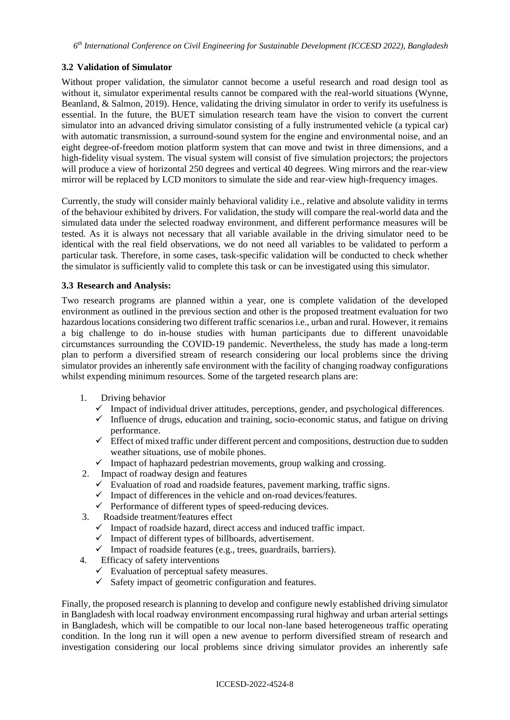## **3.2 Validation of Simulator**

Without proper validation, the simulator cannot become a useful research and road design tool as without it, simulator experimental results cannot be compared with the real-world situations (Wynne, Beanland, & Salmon, 2019). Hence, validating the driving simulator in order to verify its usefulness is essential. In the future, the BUET simulation research team have the vision to convert the current simulator into an advanced driving simulator consisting of a fully instrumented vehicle (a typical car) with automatic transmission, a surround-sound system for the engine and environmental noise, and an eight degree-of-freedom motion platform system that can move and twist in three dimensions, and a high-fidelity visual system. The visual system will consist of five simulation projectors; the projectors will produce a view of horizontal 250 degrees and vertical 40 degrees. Wing mirrors and the rear-view mirror will be replaced by LCD monitors to simulate the side and rear-view high-frequency images.

Currently, the study will consider mainly behavioral validity i.e., relative and absolute validity in terms of the behaviour exhibited by drivers. For validation, the study will compare the real-world data and the simulated data under the selected roadway environment, and different performance measures will be tested. As it is always not necessary that all variable available in the driving simulator need to be identical with the real field observations, we do not need all variables to be validated to perform a particular task. Therefore, in some cases, task-specific validation will be conducted to check whether the simulator is sufficiently valid to complete this task or can be investigated using this simulator.

## **3.3 Research and Analysis:**

Two research programs are planned within a year, one is complete validation of the developed environment as outlined in the previous section and other is the proposed treatment evaluation for two hazardous locations considering two different traffic scenarios i.e., urban and rural. However, it remains a big challenge to do in-house studies with human participants due to different unavoidable circumstances surrounding the COVID-19 pandemic. Nevertheless, the study has made a long-term plan to perform a diversified stream of research considering our local problems since the driving simulator provides an inherently safe environment with the facility of changing roadway configurations whilst expending minimum resources. Some of the targeted research plans are:

- 1. Driving behavior
	- $\checkmark$  Impact of individual driver attitudes, perceptions, gender, and psychological differences.
	- $\checkmark$  Influence of drugs, education and training, socio-economic status, and fatigue on driving performance.
	- $\checkmark$  Effect of mixed traffic under different percent and compositions, destruction due to sudden weather situations, use of mobile phones.
	- $\checkmark$  Impact of haphazard pedestrian movements, group walking and crossing.
- 2. Impact of roadway design and features
	- $\checkmark$  Evaluation of road and roadside features, pavement marking, traffic signs.
	- $\checkmark$  Impact of differences in the vehicle and on-road devices/features.
	- $\checkmark$  Performance of different types of speed-reducing devices.
- 3. Roadside treatment/features effect
	- $\checkmark$  Impact of roadside hazard, direct access and induced traffic impact.
	- $\checkmark$  Impact of different types of billboards, advertisement.
	- $\checkmark$  Impact of roadside features (e.g., trees, guardrails, barriers).
- 4. Efficacy of safety interventions
	- $\checkmark$  Evaluation of perceptual safety measures.
	- $\checkmark$  Safety impact of geometric configuration and features.

Finally, the proposed research is planning to develop and configure newly established driving simulator in Bangladesh with local roadway environment encompassing rural highway and urban arterial settings in Bangladesh, which will be compatible to our local non-lane based heterogeneous traffic operating condition. In the long run it will open a new avenue to perform diversified stream of research and investigation considering our local problems since driving simulator provides an inherently safe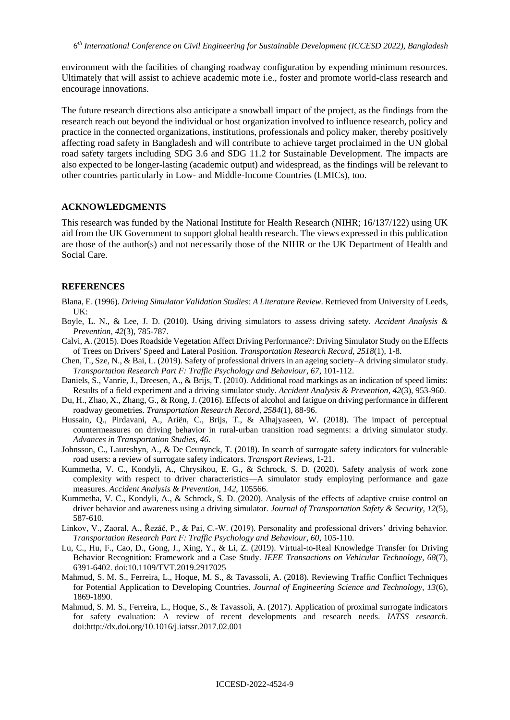environment with the facilities of changing roadway configuration by expending minimum resources. Ultimately that will assist to achieve academic mote i.e., foster and promote world-class research and encourage innovations.

The future research directions also anticipate a snowball impact of the project, as the findings from the research reach out beyond the individual or host organization involved to influence research, policy and practice in the connected organizations, institutions, professionals and policy maker, thereby positively affecting road safety in Bangladesh and will contribute to achieve target proclaimed in the UN global road safety targets including SDG 3.6 and SDG 11.2 for Sustainable Development. The impacts are also expected to be longer-lasting (academic output) and widespread, as the findings will be relevant to other countries particularly in Low- and Middle-Income Countries (LMICs), too.

#### **ACKNOWLEDGMENTS**

This research was funded by the National Institute for Health Research (NIHR; 16/137/122) using UK aid from the UK Government to support global health research. The views expressed in this publication are those of the author(s) and not necessarily those of the NIHR or the UK Department of Health and Social Care.

#### **REFERENCES**

- Blana, E. (1996). *Driving Simulator Validation Studies: A Literature Review*. Retrieved from University of Leeds, UK:
- Boyle, L. N., & Lee, J. D. (2010). Using driving simulators to assess driving safety. *Accident Analysis & Prevention, 42*(3), 785-787.
- Calvi, A. (2015). Does Roadside Vegetation Affect Driving Performance?: Driving Simulator Study on the Effects of Trees on Drivers' Speed and Lateral Position. *Transportation Research Record, 2518*(1), 1-8.
- Chen, T., Sze, N., & Bai, L. (2019). Safety of professional drivers in an ageing society–A driving simulator study. *Transportation Research Part F: Traffic Psychology and Behaviour, 67*, 101-112.
- Daniels, S., Vanrie, J., Dreesen, A., & Brijs, T. (2010). Additional road markings as an indication of speed limits: Results of a field experiment and a driving simulator study. *Accident Analysis & Prevention, 42*(3), 953-960.
- Du, H., Zhao, X., Zhang, G., & Rong, J. (2016). Effects of alcohol and fatigue on driving performance in different roadway geometries. *Transportation Research Record, 2584*(1), 88-96.
- Hussain, Q., Pirdavani, A., Ariën, C., Brijs, T., & Alhajyaseen, W. (2018). The impact of perceptual countermeasures on driving behavior in rural-urban transition road segments: a driving simulator study. *Advances in Transportation Studies, 46*.
- Johnsson, C., Laureshyn, A., & De Ceunynck, T. (2018). In search of surrogate safety indicators for vulnerable road users: a review of surrogate safety indicators. *Transport Reviews*, 1-21.
- Kummetha, V. C., Kondyli, A., Chrysikou, E. G., & Schrock, S. D. (2020). Safety analysis of work zone complexity with respect to driver characteristics—A simulator study employing performance and gaze measures. *Accident Analysis & Prevention, 142*, 105566.
- Kummetha, V. C., Kondyli, A., & Schrock, S. D. (2020). Analysis of the effects of adaptive cruise control on driver behavior and awareness using a driving simulator. *Journal of Transportation Safety & Security, 12*(5), 587-610.
- Linkov, V., Zaoral, A., Řezáč, P., & Pai, C.-W. (2019). Personality and professional drivers' driving behavior. *Transportation Research Part F: Traffic Psychology and Behaviour, 60*, 105-110.
- Lu, C., Hu, F., Cao, D., Gong, J., Xing, Y., & Li, Z. (2019). Virtual-to-Real Knowledge Transfer for Driving Behavior Recognition: Framework and a Case Study. *IEEE Transactions on Vehicular Technology, 68*(7), 6391-6402. doi:10.1109/TVT.2019.2917025
- Mahmud, S. M. S., Ferreira, L., Hoque, M. S., & Tavassoli, A. (2018). Reviewing Traffic Conflict Techniques for Potential Application to Developing Countries. *Journal of Engineering Science and Technology, 13*(6), 1869-1890.
- Mahmud, S. M. S., Ferreira, L., Hoque, S., & Tavassoli, A. (2017). Application of proximal surrogate indicators for safety evaluation: A review of recent developments and research needs. *IATSS research*. doi[:http://dx.doi.org/10.1016/j.iatssr.2017.02.001](http://dx.doi.org/10.1016/j.iatssr.2017.02.001)